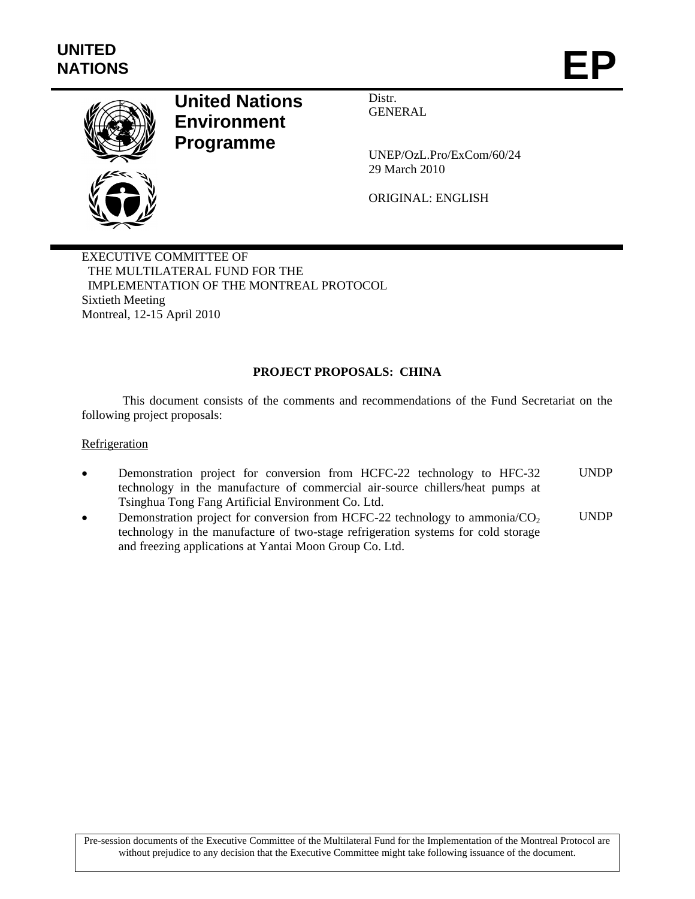

# **United Nations Environment Programme**

Distr. GENERAL

UNEP/OzL.Pro/ExCom/60/24 29 March 2010

ORIGINAL: ENGLISH

EXECUTIVE COMMITTEE OF THE MULTILATERAL FUND FOR THE IMPLEMENTATION OF THE MONTREAL PROTOCOL Sixtieth Meeting Montreal, 12-15 April 2010

# **PROJECT PROPOSALS: CHINA**

This document consists of the comments and recommendations of the Fund Secretariat on the following project proposals:

#### **Refrigeration**

- Demonstration project for conversion from HCFC-22 technology to HFC-32 technology in the manufacture of commercial air-source chillers/heat pumps at Tsinghua Tong Fang Artificial Environment Co. Ltd. UNDP
- Demonstration project for conversion from HCFC-22 technology to ammonia/ $CO<sub>2</sub>$ technology in the manufacture of two-stage refrigeration systems for cold storage and freezing applications at Yantai Moon Group Co. Ltd. UNDP

Pre-session documents of the Executive Committee of the Multilateral Fund for the Implementation of the Montreal Protocol are without prejudice to any decision that the Executive Committee might take following issuance of the document.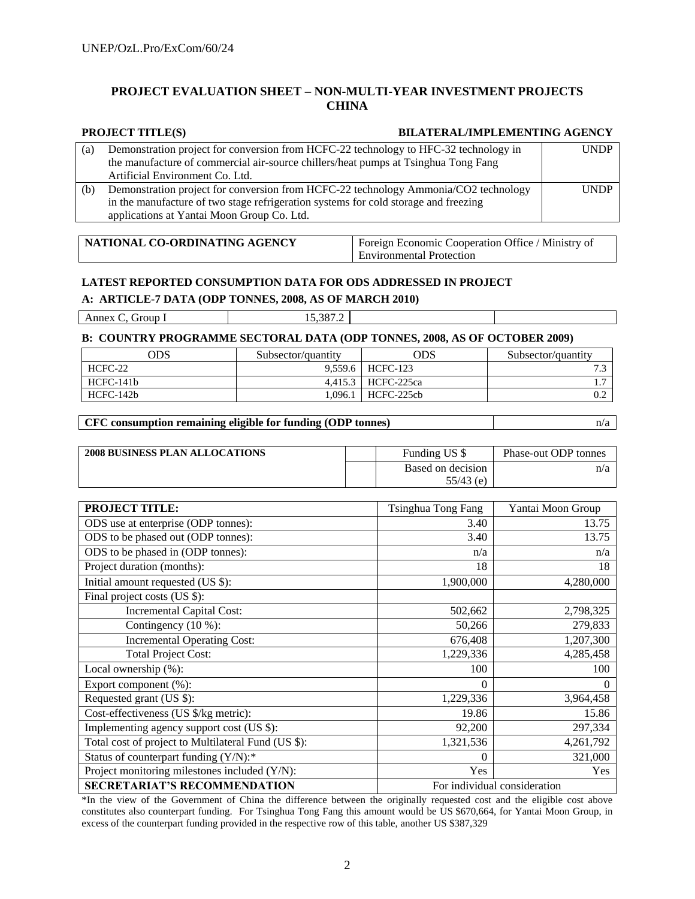#### **PROJECT EVALUATION SHEET – NON-MULTI-YEAR INVESTMENT PROJECTS CHINA**

#### **PROJECT TITLE(S) BILATERAL/IMPLEMENTING AGENCY**

| (a) | Demonstration project for conversion from HCFC-22 technology to HFC-32 technology in<br>the manufacture of commercial air-source chillers/heat pumps at Tsinghua Tong Fang<br>Artificial Environment Co. Ltd. | <b>UNDP</b> |
|-----|---------------------------------------------------------------------------------------------------------------------------------------------------------------------------------------------------------------|-------------|
| (b) | Demonstration project for conversion from HCFC-22 technology Ammonia/CO2 technology<br>in the manufacture of two stage refrigeration systems for cold storage and freezing                                    | <b>UNDP</b> |
|     | applications at Yantai Moon Group Co. Ltd.                                                                                                                                                                    |             |

| NATIONAL CO-ORDINATING AGENCY | Foreign Economic Cooperation Office / Ministry of |
|-------------------------------|---------------------------------------------------|
|                               | <b>Environmental Protection</b>                   |

#### **LATEST REPORTED CONSUMPTION DATA FOR ODS ADDRESSED IN PROJECT**

**A: ARTICLE-7 DATA (ODP TONNES, 2008, AS OF MARCH 2010)**

| Annex<br>. iroup<br>---------<br>____ | 0.227<br>הר<br>$\cdot$<br>10.0 |  |
|---------------------------------------|--------------------------------|--|
|                                       |                                |  |

#### **B: COUNTRY PROGRAMME SECTORAL DATA (ODP TONNES, 2008, AS OF OCTOBER 2009)**

| ODS         | Subsector/quantity | ODS        | Subsector/quantity |
|-------------|--------------------|------------|--------------------|
| HCFC-22     | 9.559.6            | HCFC-123   | $\sim$<br>ت -      |
| HCFC-141b   | 4.415.3            | HCFC-225ca |                    |
| $HCFC-142b$ | .096.1             | HCFC-225cb | 0.2                |

#### **CFC consumption remaining eligible for funding (ODP tonnes)** n/a

| <b>2008 BUSINESS PLAN ALLOCATIONS</b> | Funding US \$     | Phase-out ODP tonnes |
|---------------------------------------|-------------------|----------------------|
|                                       | Based on decision | n/a                  |
|                                       | $55/43$ (e)       |                      |

| <b>PROJECT TITLE:</b>                                               | Tsinghua Tong Fang | Yantai Moon Group |
|---------------------------------------------------------------------|--------------------|-------------------|
| ODS use at enterprise (ODP tonnes):                                 | 3.40               | 13.75             |
| ODS to be phased out (ODP tonnes):                                  | 3.40               | 13.75             |
| ODS to be phased in (ODP tonnes):                                   | n/a                | n/a               |
| Project duration (months):                                          | 18                 | 18                |
| Initial amount requested (US \$):                                   | 1,900,000          | 4,280,000         |
| Final project costs (US \$):                                        |                    |                   |
| Incremental Capital Cost:                                           | 502,662            | 2,798,325         |
| Contingency $(10\%)$ :                                              | 50,266             | 279,833           |
| <b>Incremental Operating Cost:</b>                                  | 676,408            | 1,207,300         |
| <b>Total Project Cost:</b>                                          | 1,229,336          | 4,285,458         |
| Local ownership (%):                                                | 100                | 100               |
| Export component (%):                                               | $\Omega$           | $\overline{0}$    |
| Requested grant (US \$):                                            | 1,229,336          | 3,964,458         |
| Cost-effectiveness (US \$/kg metric):                               | 19.86              | 15.86             |
| Implementing agency support cost (US \$):                           | 92,200             | 297,334           |
| Total cost of project to Multilateral Fund (US \$):                 | 1,321,536          | 4,261,792         |
| Status of counterpart funding (Y/N):*                               | $\Omega$           | 321,000           |
| Project monitoring milestones included (Y/N):                       | Yes                | Yes               |
| For individual consideration<br><b>SECRETARIAT'S RECOMMENDATION</b> |                    |                   |

\*In the view of the Government of China the difference between the originally requested cost and the eligible cost above constitutes also counterpart funding. For Tsinghua Tong Fang this amount would be US \$670,664, for Yantai Moon Group, in excess of the counterpart funding provided in the respective row of this table, another US \$387,329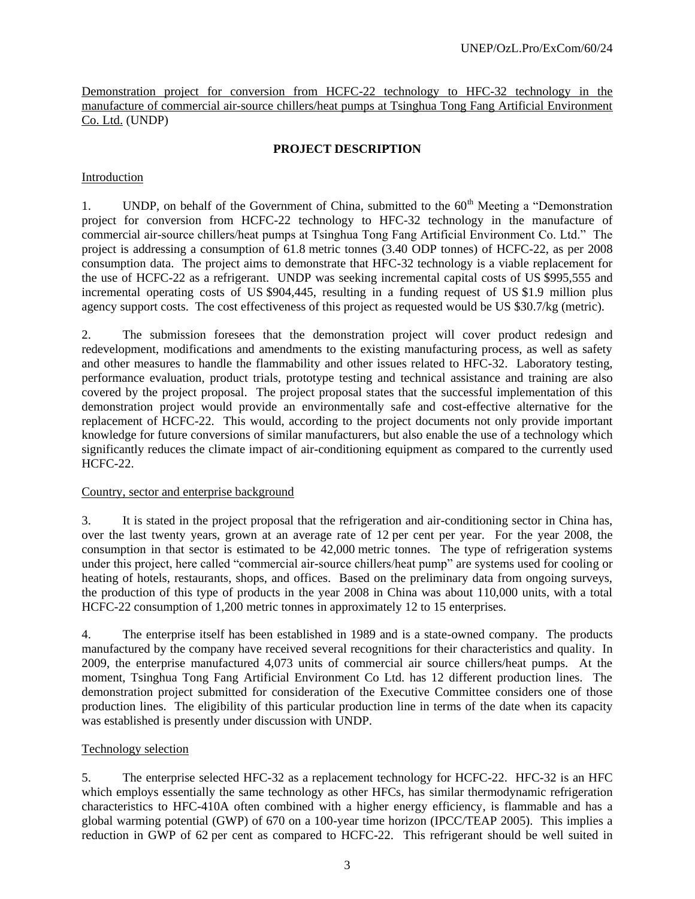Demonstration project for conversion from HCFC-22 technology to HFC-32 technology in the manufacture of commercial air-source chillers/heat pumps at Tsinghua Tong Fang Artificial Environment Co. Ltd. (UNDP)

#### **PROJECT DESCRIPTION**

#### Introduction

1. UNDP, on behalf of the Government of China, submitted to the  $60<sup>th</sup>$  Meeting a "Demonstration" project for conversion from HCFC-22 technology to HFC-32 technology in the manufacture of commercial air-source chillers/heat pumps at Tsinghua Tong Fang Artificial Environment Co. Ltd." The project is addressing a consumption of 61.8 metric tonnes (3.40 ODP tonnes) of HCFC-22, as per 2008 consumption data. The project aims to demonstrate that HFC-32 technology is a viable replacement for the use of HCFC-22 as a refrigerant. UNDP was seeking incremental capital costs of US \$995,555 and incremental operating costs of US \$904,445, resulting in a funding request of US \$1.9 million plus agency support costs. The cost effectiveness of this project as requested would be US \$30.7/kg (metric).

2. The submission foresees that the demonstration project will cover product redesign and redevelopment, modifications and amendments to the existing manufacturing process, as well as safety and other measures to handle the flammability and other issues related to HFC-32. Laboratory testing, performance evaluation, product trials, prototype testing and technical assistance and training are also covered by the project proposal. The project proposal states that the successful implementation of this demonstration project would provide an environmentally safe and cost-effective alternative for the replacement of HCFC-22. This would, according to the project documents not only provide important knowledge for future conversions of similar manufacturers, but also enable the use of a technology which significantly reduces the climate impact of air-conditioning equipment as compared to the currently used HCFC-22.

#### Country, sector and enterprise background

3. It is stated in the project proposal that the refrigeration and air-conditioning sector in China has, over the last twenty years, grown at an average rate of 12 per cent per year. For the year 2008, the consumption in that sector is estimated to be 42,000 metric tonnes. The type of refrigeration systems under this project, here called "commercial air-source chillers/heat pump" are systems used for cooling or heating of hotels, restaurants, shops, and offices. Based on the preliminary data from ongoing surveys, the production of this type of products in the year 2008 in China was about 110,000 units, with a total HCFC-22 consumption of 1,200 metric tonnes in approximately 12 to 15 enterprises.

4. The enterprise itself has been established in 1989 and is a state-owned company. The products manufactured by the company have received several recognitions for their characteristics and quality. In 2009, the enterprise manufactured 4,073 units of commercial air source chillers/heat pumps. At the moment, Tsinghua Tong Fang Artificial Environment Co Ltd. has 12 different production lines. The demonstration project submitted for consideration of the Executive Committee considers one of those production lines. The eligibility of this particular production line in terms of the date when its capacity was established is presently under discussion with UNDP.

#### Technology selection

5. The enterprise selected HFC-32 as a replacement technology for HCFC-22. HFC-32 is an HFC which employs essentially the same technology as other HFCs, has similar thermodynamic refrigeration characteristics to HFC-410A often combined with a higher energy efficiency, is flammable and has a global warming potential (GWP) of 670 on a 100-year time horizon (IPCC/TEAP 2005). This implies a reduction in GWP of 62 per cent as compared to HCFC-22. This refrigerant should be well suited in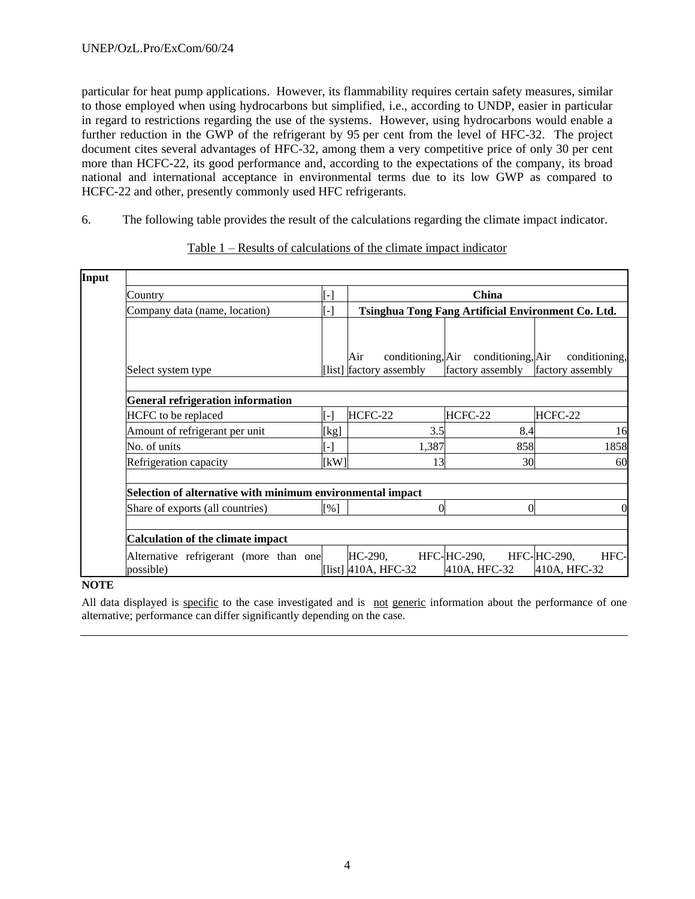particular for heat pump applications. However, its flammability requires certain safety measures, similar to those employed when using hydrocarbons but simplified, i.e., according to UNDP, easier in particular in regard to restrictions regarding the use of the systems. However, using hydrocarbons would enable a further reduction in the GWP of the refrigerant by 95 per cent from the level of HFC-32. The project document cites several advantages of HFC-32, among them a very competitive price of only 30 per cent more than HCFC-22, its good performance and, according to the expectations of the company, its broad national and international acceptance in environmental terms due to its low GWP as compared to HCFC-22 and other, presently commonly used HFC refrigerants.

6. The following table provides the result of the calculations regarding the climate impact indicator.

| Country                                             |                                                                                                                                                                                                                                                                                                                                                                                                                                                                                                         | $\lceil - \rceil$ |                        | China        |               |
|-----------------------------------------------------|---------------------------------------------------------------------------------------------------------------------------------------------------------------------------------------------------------------------------------------------------------------------------------------------------------------------------------------------------------------------------------------------------------------------------------------------------------------------------------------------------------|-------------------|------------------------|--------------|---------------|
| Company data (name, location)                       |                                                                                                                                                                                                                                                                                                                                                                                                                                                                                                         |                   |                        |              |               |
| Select system type                                  |                                                                                                                                                                                                                                                                                                                                                                                                                                                                                                         |                   | Air                    |              | conditioning, |
| <b>General refrigeration information</b>            | Tsinghua Tong Fang Artificial Environment Co. Ltd.<br>$\left[ -\right]$<br>conditioning, Air conditioning, Air<br>[list] factory assembly<br>factory assembly<br>factory assembly<br>HCFC-22<br>HCFC-22<br>HCFC-22<br>$\lceil - \rceil$<br>3.5<br>8.4<br>16<br>[kg]<br>1858<br>858<br>1,387<br>$\lceil - \rceil$<br>[kW]<br>30<br>13<br>60<br>Selection of alternative with minimum environmental impact<br>$\Omega$<br>$\Omega$<br>$\lceil \% \rceil$<br>HFC-HC-290,<br>HFC-HC-290,<br>HFC-<br>HC-290, |                   |                        |              |               |
| HCFC to be replaced                                 |                                                                                                                                                                                                                                                                                                                                                                                                                                                                                                         |                   |                        |              |               |
| Amount of refrigerant per unit                      |                                                                                                                                                                                                                                                                                                                                                                                                                                                                                                         |                   |                        |              |               |
| No. of units                                        |                                                                                                                                                                                                                                                                                                                                                                                                                                                                                                         |                   |                        |              |               |
| Refrigeration capacity                              |                                                                                                                                                                                                                                                                                                                                                                                                                                                                                                         |                   |                        |              |               |
|                                                     |                                                                                                                                                                                                                                                                                                                                                                                                                                                                                                         |                   |                        |              |               |
| Share of exports (all countries)                    |                                                                                                                                                                                                                                                                                                                                                                                                                                                                                                         |                   |                        |              |               |
| <b>Calculation of the climate impact</b>            |                                                                                                                                                                                                                                                                                                                                                                                                                                                                                                         |                   |                        |              |               |
| Alternative refrigerant (more than one<br>possible) |                                                                                                                                                                                                                                                                                                                                                                                                                                                                                                         |                   | [list] $410A$ , HFC-32 | 410A, HFC-32 | 410A, HFC-32  |

Table 1 – Results of calculations of the climate impact indicator

**NOTE**

All data displayed is specific to the case investigated and is not generic information about the performance of one alternative; performance can differ significantly depending on the case.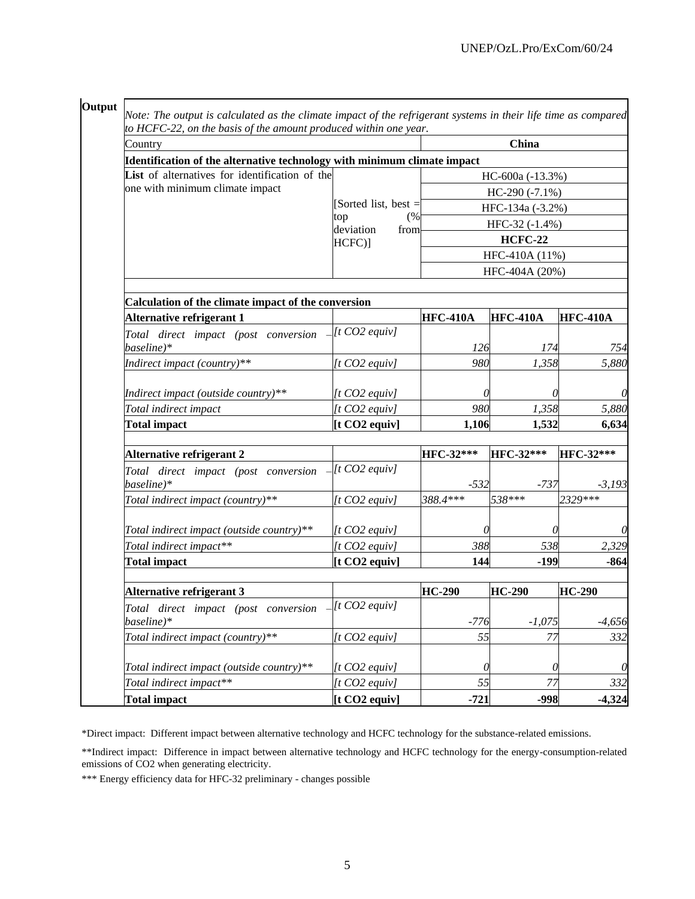| Output                                                       | Note: The output is calculated as the climate impact of the refrigerant systems in their life time as compared<br>to HCFC-22, on the basis of the amount produced within one year. |                  |                  |                 |  |  |  |  |
|--------------------------------------------------------------|------------------------------------------------------------------------------------------------------------------------------------------------------------------------------------|------------------|------------------|-----------------|--|--|--|--|
| Country                                                      |                                                                                                                                                                                    | China            |                  |                 |  |  |  |  |
|                                                              | Identification of the alternative technology with minimum climate impact                                                                                                           |                  |                  |                 |  |  |  |  |
| List of alternatives for identification of the               |                                                                                                                                                                                    | HC-600a (-13.3%) |                  |                 |  |  |  |  |
| one with minimum climate impact                              |                                                                                                                                                                                    | $HC-290(-7.1\%)$ |                  |                 |  |  |  |  |
|                                                              | [Sorted list, best $=$                                                                                                                                                             |                  | HFC-134a (-3.2%) |                 |  |  |  |  |
|                                                              | top<br>(%<br>deviation<br>from                                                                                                                                                     |                  | HFC-32 (-1.4%)   |                 |  |  |  |  |
|                                                              | $HCFC$ ]                                                                                                                                                                           |                  | <b>HCFC-22</b>   |                 |  |  |  |  |
|                                                              |                                                                                                                                                                                    |                  | HFC-410A (11%)   |                 |  |  |  |  |
|                                                              |                                                                                                                                                                                    |                  | HFC-404A (20%)   |                 |  |  |  |  |
|                                                              |                                                                                                                                                                                    |                  |                  |                 |  |  |  |  |
| Calculation of the climate impact of the conversion          |                                                                                                                                                                                    |                  |                  |                 |  |  |  |  |
| Alternative refrigerant 1                                    |                                                                                                                                                                                    | <b>HFC-410A</b>  | <b>HFC-410A</b>  | <b>HFC-410A</b> |  |  |  |  |
| Total direct impact (post conversion                         | $[t CO2 \; \text{equiv}\]$                                                                                                                                                         |                  |                  |                 |  |  |  |  |
| baseline)*                                                   |                                                                                                                                                                                    | 126              | 174              | 754             |  |  |  |  |
| Indirect impact (country)**                                  | $[t CO2\;equiv]$                                                                                                                                                                   | 980              | 1,358            | 5,880           |  |  |  |  |
|                                                              |                                                                                                                                                                                    |                  |                  |                 |  |  |  |  |
| Indirect impact (outside country)**<br>Total indirect impact | $[t CO2\;equiv]$<br>$[t CO2\;equiv]$                                                                                                                                               | 0<br>980         | 0<br>1,358       | 5,880           |  |  |  |  |
| <b>Total impact</b>                                          | [t CO2 equity]                                                                                                                                                                     | 1,106            | 1,532            | 6,634           |  |  |  |  |
|                                                              |                                                                                                                                                                                    |                  |                  |                 |  |  |  |  |
| Alternative refrigerant 2                                    |                                                                                                                                                                                    | HFC-32***        | HFC-32***        | HFC-32***       |  |  |  |  |
| Total direct impact (post conversion<br>baseline)*           | $[t CO2\;equiv]$                                                                                                                                                                   | $-532$           | $-737$           | $-3,193$        |  |  |  |  |
| Total indirect impact (country)**                            | $[t CO2\;equiv]$                                                                                                                                                                   | 388.4***         | 538***           | 2329***         |  |  |  |  |
| Total indirect impact (outside country)**                    | $[t CO2\;equiv]$                                                                                                                                                                   | 0                | 0                |                 |  |  |  |  |
| Total indirect impact**                                      | $[t CO2\;equiv]$                                                                                                                                                                   | 388              | 538              | 2,329           |  |  |  |  |
| <b>Total impact</b>                                          | $[t CO2$ equiv]                                                                                                                                                                    | 144              | $-199$           | $-864$          |  |  |  |  |
|                                                              |                                                                                                                                                                                    |                  |                  |                 |  |  |  |  |
| <b>Alternative refrigerant 3</b>                             |                                                                                                                                                                                    | <b>HC-290</b>    | <b>HC-290</b>    | <b>HC-290</b>   |  |  |  |  |
| Total direct impact (post conversion<br>baseline)*           | $[t CO2 \; \text{equiv}$                                                                                                                                                           | $-776$           | $-1,075$         | $-4,656$        |  |  |  |  |
| Total indirect impact (country)**                            | $[t CO2\;equiv]$                                                                                                                                                                   | 55               | 77               | 332             |  |  |  |  |
| Total indirect impact (outside country)**                    | $[t CO2 \; \text{equiv}$                                                                                                                                                           | $\theta$         | 0                | $\theta$        |  |  |  |  |
| Total indirect impact**                                      | $[t CO2 \; \text{equiv}$                                                                                                                                                           | 55               | 77               | 332             |  |  |  |  |
| <b>Total impact</b>                                          | [t CO2 equity]                                                                                                                                                                     | $-721$           | $-998$           | $-4,324$        |  |  |  |  |

\*Direct impact: Different impact between alternative technology and HCFC technology for the substance-related emissions.

\*\*Indirect impact: Difference in impact between alternative technology and HCFC technology for the energy-consumption-related emissions of CO2 when generating electricity.

\*\*\* Energy efficiency data for HFC-32 preliminary - changes possible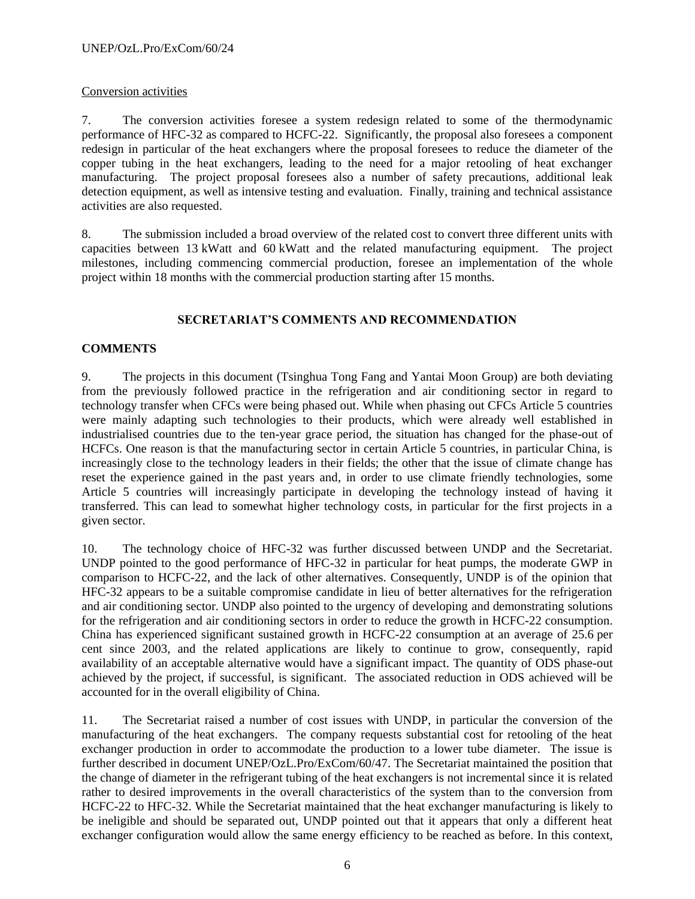# Conversion activities

7. The conversion activities foresee a system redesign related to some of the thermodynamic performance of HFC-32 as compared to HCFC-22. Significantly, the proposal also foresees a component redesign in particular of the heat exchangers where the proposal foresees to reduce the diameter of the copper tubing in the heat exchangers, leading to the need for a major retooling of heat exchanger manufacturing. The project proposal foresees also a number of safety precautions, additional leak detection equipment, as well as intensive testing and evaluation. Finally, training and technical assistance activities are also requested.

8. The submission included a broad overview of the related cost to convert three different units with capacities between 13 kWatt and 60 kWatt and the related manufacturing equipment. The project milestones, including commencing commercial production, foresee an implementation of the whole project within 18 months with the commercial production starting after 15 months.

# **SECRETARIAT'S COMMENTS AND RECOMMENDATION**

#### **COMMENTS**

9. The projects in this document (Tsinghua Tong Fang and Yantai Moon Group) are both deviating from the previously followed practice in the refrigeration and air conditioning sector in regard to technology transfer when CFCs were being phased out. While when phasing out CFCs Article 5 countries were mainly adapting such technologies to their products, which were already well established in industrialised countries due to the ten-year grace period, the situation has changed for the phase-out of HCFCs. One reason is that the manufacturing sector in certain Article 5 countries, in particular China, is increasingly close to the technology leaders in their fields; the other that the issue of climate change has reset the experience gained in the past years and, in order to use climate friendly technologies, some Article 5 countries will increasingly participate in developing the technology instead of having it transferred. This can lead to somewhat higher technology costs, in particular for the first projects in a given sector.

10. The technology choice of HFC-32 was further discussed between UNDP and the Secretariat. UNDP pointed to the good performance of HFC-32 in particular for heat pumps, the moderate GWP in comparison to HCFC-22, and the lack of other alternatives. Consequently, UNDP is of the opinion that HFC-32 appears to be a suitable compromise candidate in lieu of better alternatives for the refrigeration and air conditioning sector. UNDP also pointed to the urgency of developing and demonstrating solutions for the refrigeration and air conditioning sectors in order to reduce the growth in HCFC-22 consumption. China has experienced significant sustained growth in HCFC-22 consumption at an average of 25.6 per cent since 2003, and the related applications are likely to continue to grow, consequently, rapid availability of an acceptable alternative would have a significant impact. The quantity of ODS phase-out achieved by the project, if successful, is significant. The associated reduction in ODS achieved will be accounted for in the overall eligibility of China.

11. The Secretariat raised a number of cost issues with UNDP, in particular the conversion of the manufacturing of the heat exchangers. The company requests substantial cost for retooling of the heat exchanger production in order to accommodate the production to a lower tube diameter. The issue is further described in document UNEP/OzL.Pro/ExCom/60/47. The Secretariat maintained the position that the change of diameter in the refrigerant tubing of the heat exchangers is not incremental since it is related rather to desired improvements in the overall characteristics of the system than to the conversion from HCFC-22 to HFC-32. While the Secretariat maintained that the heat exchanger manufacturing is likely to be ineligible and should be separated out, UNDP pointed out that it appears that only a different heat exchanger configuration would allow the same energy efficiency to be reached as before. In this context,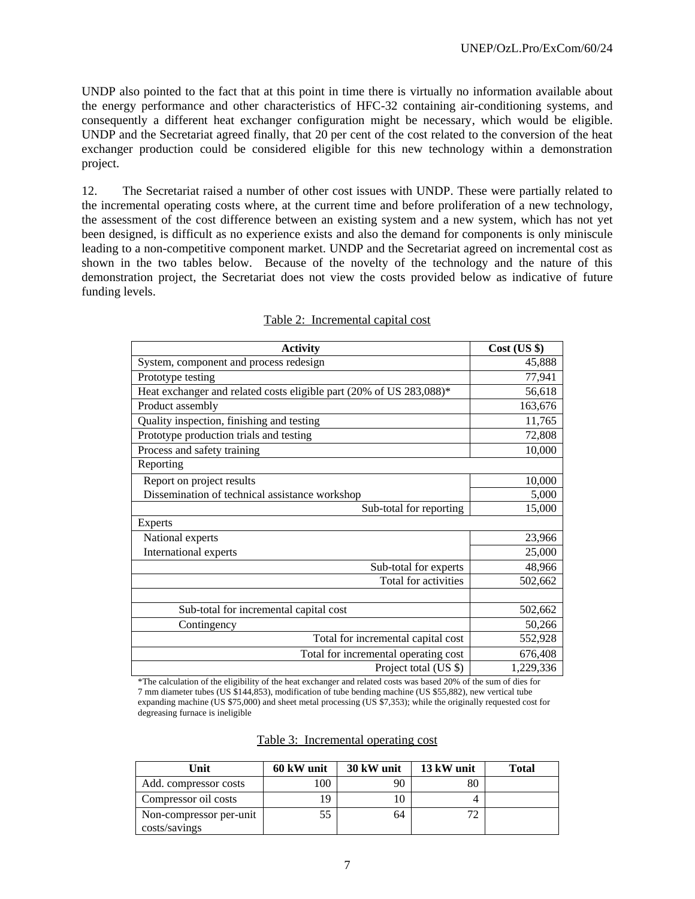UNDP also pointed to the fact that at this point in time there is virtually no information available about the energy performance and other characteristics of HFC-32 containing air-conditioning systems, and consequently a different heat exchanger configuration might be necessary, which would be eligible. UNDP and the Secretariat agreed finally, that 20 per cent of the cost related to the conversion of the heat exchanger production could be considered eligible for this new technology within a demonstration project.

12. The Secretariat raised a number of other cost issues with UNDP. These were partially related to the incremental operating costs where, at the current time and before proliferation of a new technology, the assessment of the cost difference between an existing system and a new system, which has not yet been designed, is difficult as no experience exists and also the demand for components is only miniscule leading to a non-competitive component market. UNDP and the Secretariat agreed on incremental cost as shown in the two tables below. Because of the novelty of the technology and the nature of this demonstration project, the Secretariat does not view the costs provided below as indicative of future funding levels.

| <b>Activity</b>                                                     | $Cost$ (US $\})$ |
|---------------------------------------------------------------------|------------------|
| System, component and process redesign                              | 45,888           |
| Prototype testing                                                   | 77,941           |
| Heat exchanger and related costs eligible part (20% of US 283,088)* | 56,618           |
| Product assembly                                                    | 163,676          |
| Quality inspection, finishing and testing                           | 11,765           |
| Prototype production trials and testing                             | 72,808           |
| Process and safety training                                         | 10,000           |
| Reporting                                                           |                  |
| Report on project results                                           | 10,000           |
| Dissemination of technical assistance workshop                      | 5,000            |
| Sub-total for reporting                                             | 15,000           |
| <b>Experts</b>                                                      |                  |
| National experts                                                    | 23,966           |
| International experts                                               | 25,000           |
| Sub-total for experts                                               | 48,966           |
| Total for activities                                                | 502,662          |
|                                                                     |                  |
| Sub-total for incremental capital cost                              | 502,662          |
| Contingency                                                         | 50,266           |
| Total for incremental capital cost                                  | 552,928          |
| Total for incremental operating cost                                | 676,408          |
| Project total (US \$)                                               | 1,229,336        |

#### Table 2: Incremental capital cost

\*The calculation of the eligibility of the heat exchanger and related costs was based 20% of the sum of dies for 7 mm diameter tubes (US \$144,853), modification of tube bending machine (US \$55,882), new vertical tube expanding machine (US \$75,000) and sheet metal processing (US \$7,353); while the originally requested cost for degreasing furnace is ineligible

| Table 3: Incremental operating cost |  |
|-------------------------------------|--|
|                                     |  |

| Unit                    | 60 kW unit | 30 kW unit | 13 kW unit | <b>Total</b> |
|-------------------------|------------|------------|------------|--------------|
| Add. compressor costs   | 100        | 90         |            |              |
| Compressor oil costs    | 19         |            |            |              |
| Non-compressor per-unit | 55         | 64         | 72         |              |
| costs/savings           |            |            |            |              |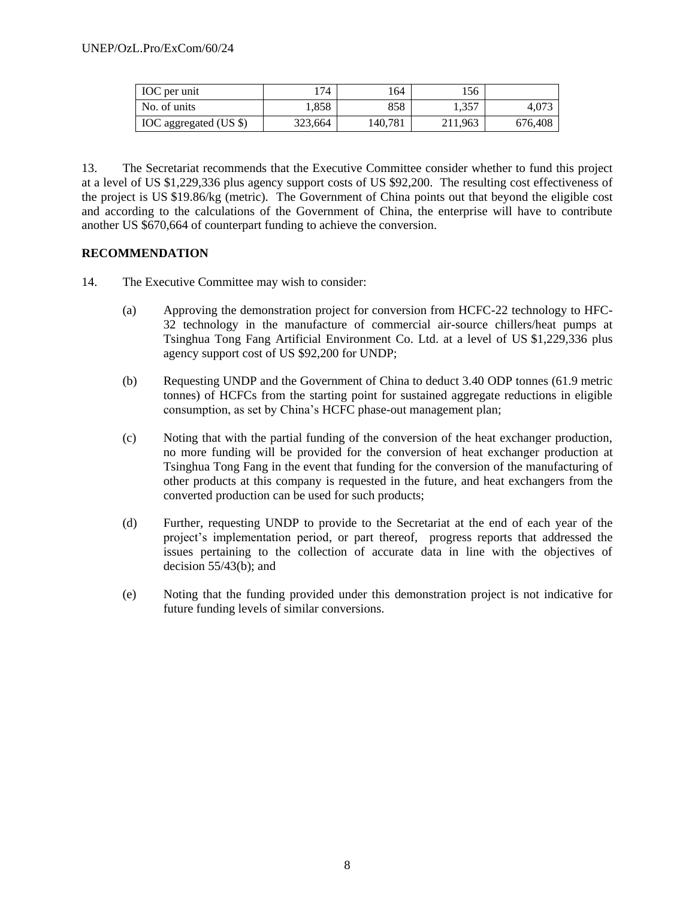| <b>IOC</b> per unit           | 174     | 164     | 156     |         |
|-------------------------------|---------|---------|---------|---------|
| No. of units                  | .858    | 858     | .,357   | 4.073   |
| <b>IOC</b> aggregated (US \$) | 323,664 | 140,781 | 211.963 | 676,408 |

13. The Secretariat recommends that the Executive Committee consider whether to fund this project at a level of US \$1,229,336 plus agency support costs of US \$92,200. The resulting cost effectiveness of the project is US \$19.86/kg (metric). The Government of China points out that beyond the eligible cost and according to the calculations of the Government of China, the enterprise will have to contribute another US \$670,664 of counterpart funding to achieve the conversion.

#### **RECOMMENDATION**

- 14. The Executive Committee may wish to consider:
	- (a) Approving the demonstration project for conversion from HCFC-22 technology to HFC-32 technology in the manufacture of commercial air-source chillers/heat pumps at Tsinghua Tong Fang Artificial Environment Co. Ltd. at a level of US \$1,229,336 plus agency support cost of US \$92,200 for UNDP;
	- (b) Requesting UNDP and the Government of China to deduct 3.40 ODP tonnes (61.9 metric tonnes) of HCFCs from the starting point for sustained aggregate reductions in eligible consumption, as set by China's HCFC phase-out management plan;
	- (c) Noting that with the partial funding of the conversion of the heat exchanger production, no more funding will be provided for the conversion of heat exchanger production at Tsinghua Tong Fang in the event that funding for the conversion of the manufacturing of other products at this company is requested in the future, and heat exchangers from the converted production can be used for such products;
	- (d) Further, requesting UNDP to provide to the Secretariat at the end of each year of the project's implementation period, or part thereof, progress reports that addressed the issues pertaining to the collection of accurate data in line with the objectives of decision  $55/43(b)$ ; and
	- (e) Noting that the funding provided under this demonstration project is not indicative for future funding levels of similar conversions.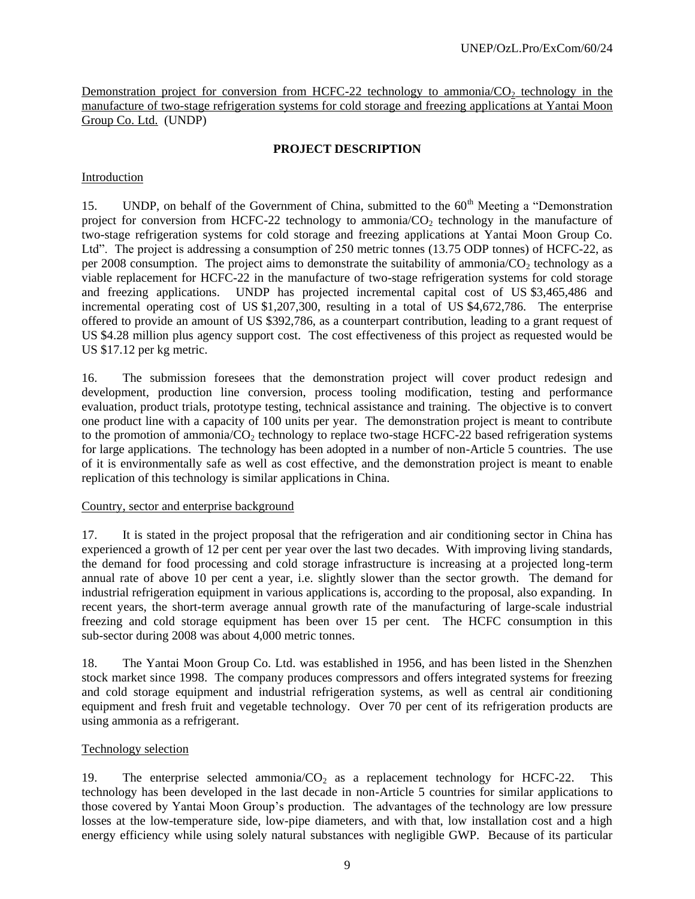Demonstration project for conversion from HCFC-22 technology to ammonia/ $CO<sub>2</sub>$  technology in the manufacture of two-stage refrigeration systems for cold storage and freezing applications at Yantai Moon Group Co. Ltd. (UNDP)

# **PROJECT DESCRIPTION**

# Introduction

15. UNDP, on behalf of the Government of China, submitted to the 60<sup>th</sup> Meeting a "Demonstration" project for conversion from HCFC-22 technology to ammonia/ $CO<sub>2</sub>$  technology in the manufacture of two-stage refrigeration systems for cold storage and freezing applications at Yantai Moon Group Co. Ltd". The project is addressing a consumption of 250 metric tonnes (13.75 ODP tonnes) of HCFC-22, as per 2008 consumption. The project aims to demonstrate the suitability of ammonia/ $CO<sub>2</sub>$  technology as a viable replacement for HCFC-22 in the manufacture of two-stage refrigeration systems for cold storage and freezing applications. UNDP has projected incremental capital cost of US \$3,465,486 and incremental operating cost of US \$1,207,300, resulting in a total of US \$4,672,786. The enterprise offered to provide an amount of US \$392,786, as a counterpart contribution, leading to a grant request of US \$4.28 million plus agency support cost. The cost effectiveness of this project as requested would be US \$17.12 per kg metric.

16. The submission foresees that the demonstration project will cover product redesign and development, production line conversion, process tooling modification, testing and performance evaluation, product trials, prototype testing, technical assistance and training. The objective is to convert one product line with a capacity of 100 units per year. The demonstration project is meant to contribute to the promotion of ammonia/ $CO<sub>2</sub>$  technology to replace two-stage HCFC-22 based refrigeration systems for large applications. The technology has been adopted in a number of non-Article 5 countries. The use of it is environmentally safe as well as cost effective, and the demonstration project is meant to enable replication of this technology is similar applications in China.

# Country, sector and enterprise background

17. It is stated in the project proposal that the refrigeration and air conditioning sector in China has experienced a growth of 12 per cent per year over the last two decades. With improving living standards, the demand for food processing and cold storage infrastructure is increasing at a projected long-term annual rate of above 10 per cent a year, i.e. slightly slower than the sector growth. The demand for industrial refrigeration equipment in various applications is, according to the proposal, also expanding. In recent years, the short-term average annual growth rate of the manufacturing of large-scale industrial freezing and cold storage equipment has been over 15 per cent. The HCFC consumption in this sub-sector during 2008 was about 4,000 metric tonnes.

18. The Yantai Moon Group Co. Ltd. was established in 1956, and has been listed in the Shenzhen stock market since 1998. The company produces compressors and offers integrated systems for freezing and cold storage equipment and industrial refrigeration systems, as well as central air conditioning equipment and fresh fruit and vegetable technology. Over 70 per cent of its refrigeration products are using ammonia as a refrigerant.

# Technology selection

19. The enterprise selected ammonia/ $CO<sub>2</sub>$  as a replacement technology for HCFC-22. This technology has been developed in the last decade in non-Article 5 countries for similar applications to those covered by Yantai Moon Group's production. The advantages of the technology are low pressure losses at the low-temperature side, low-pipe diameters, and with that, low installation cost and a high energy efficiency while using solely natural substances with negligible GWP. Because of its particular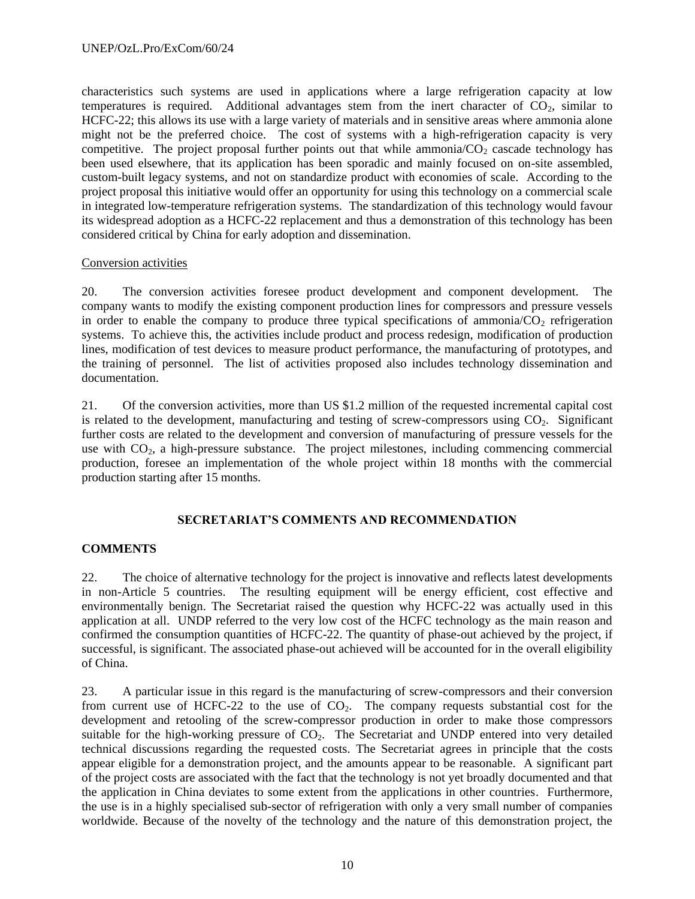characteristics such systems are used in applications where a large refrigeration capacity at low temperatures is required. Additional advantages stem from the inert character of  $CO<sub>2</sub>$ , similar to HCFC-22; this allows its use with a large variety of materials and in sensitive areas where ammonia alone might not be the preferred choice. The cost of systems with a high-refrigeration capacity is very competitive. The project proposal further points out that while ammonia/ $CO<sub>2</sub>$  cascade technology has been used elsewhere, that its application has been sporadic and mainly focused on on-site assembled, custom-built legacy systems, and not on standardize product with economies of scale. According to the project proposal this initiative would offer an opportunity for using this technology on a commercial scale in integrated low-temperature refrigeration systems. The standardization of this technology would favour its widespread adoption as a HCFC-22 replacement and thus a demonstration of this technology has been considered critical by China for early adoption and dissemination.

#### Conversion activities

20. The conversion activities foresee product development and component development. The company wants to modify the existing component production lines for compressors and pressure vessels in order to enable the company to produce three typical specifications of ammonia/ $\overline{CO}_2$  refrigeration systems. To achieve this, the activities include product and process redesign, modification of production lines, modification of test devices to measure product performance, the manufacturing of prototypes, and the training of personnel. The list of activities proposed also includes technology dissemination and documentation.

21. Of the conversion activities, more than US \$1.2 million of the requested incremental capital cost is related to the development, manufacturing and testing of screw-compressors using  $CO<sub>2</sub>$ . Significant further costs are related to the development and conversion of manufacturing of pressure vessels for the use with  $CO<sub>2</sub>$ , a high-pressure substance. The project milestones, including commencing commercial production, foresee an implementation of the whole project within 18 months with the commercial production starting after 15 months.

#### **SECRETARIAT'S COMMENTS AND RECOMMENDATION**

#### **COMMENTS**

22. The choice of alternative technology for the project is innovative and reflects latest developments in non-Article 5 countries. The resulting equipment will be energy efficient, cost effective and environmentally benign. The Secretariat raised the question why HCFC-22 was actually used in this application at all. UNDP referred to the very low cost of the HCFC technology as the main reason and confirmed the consumption quantities of HCFC-22. The quantity of phase-out achieved by the project, if successful, is significant. The associated phase-out achieved will be accounted for in the overall eligibility of China.

23. A particular issue in this regard is the manufacturing of screw-compressors and their conversion from current use of HCFC-22 to the use of  $CO<sub>2</sub>$ . The company requests substantial cost for the development and retooling of the screw-compressor production in order to make those compressors suitable for the high-working pressure of  $CO<sub>2</sub>$ . The Secretariat and UNDP entered into very detailed technical discussions regarding the requested costs. The Secretariat agrees in principle that the costs appear eligible for a demonstration project, and the amounts appear to be reasonable. A significant part of the project costs are associated with the fact that the technology is not yet broadly documented and that the application in China deviates to some extent from the applications in other countries. Furthermore, the use is in a highly specialised sub-sector of refrigeration with only a very small number of companies worldwide. Because of the novelty of the technology and the nature of this demonstration project, the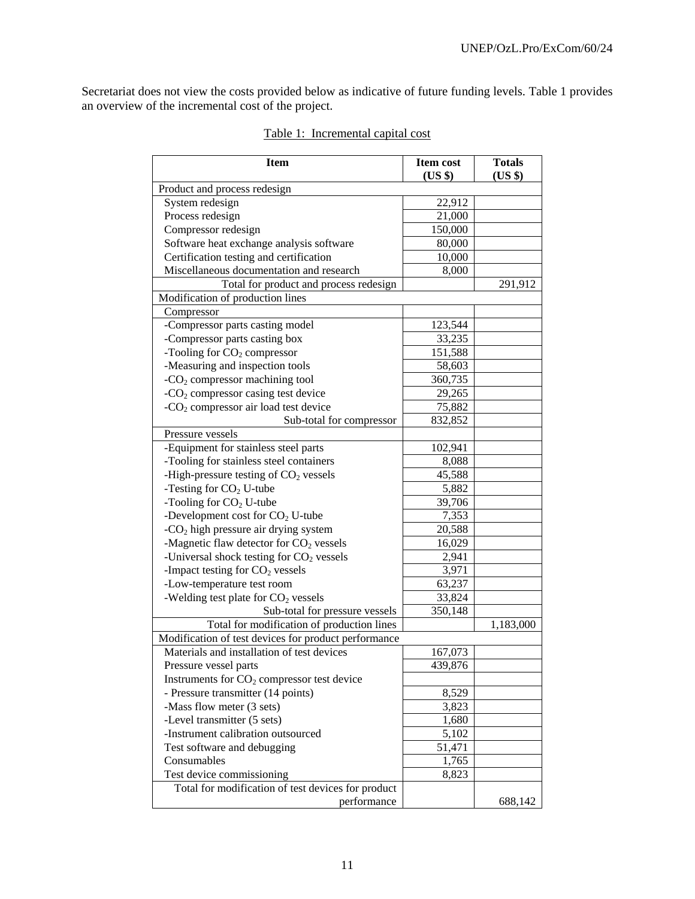Secretariat does not view the costs provided below as indicative of future funding levels. Table 1 provides an overview of the incremental cost of the project.

| <b>Item</b>                                          | <b>Item cost</b> | <b>Totals</b> |  |
|------------------------------------------------------|------------------|---------------|--|
| (US \$)<br>(US \$)                                   |                  |               |  |
| Product and process redesign<br>System redesign      | 22,912           |               |  |
| Process redesign                                     | 21,000           |               |  |
| Compressor redesign                                  | 150,000          |               |  |
| Software heat exchange analysis software             | 80,000           |               |  |
| Certification testing and certification              | 10,000           |               |  |
| Miscellaneous documentation and research             | 8,000            |               |  |
| Total for product and process redesign               |                  | 291,912       |  |
| Modification of production lines                     |                  |               |  |
| Compressor                                           |                  |               |  |
| -Compressor parts casting model                      | 123,544          |               |  |
| -Compressor parts casting box                        | 33,235           |               |  |
| -Tooling for $CO2$ compressor                        | 151,588          |               |  |
| -Measuring and inspection tools                      | 58,603           |               |  |
| $-CO2$ compressor machining tool                     | 360,735          |               |  |
| - $CO2$ compressor casing test device                | 29,265           |               |  |
| -CO <sub>2</sub> compressor air load test device     | 75,882           |               |  |
| Sub-total for compressor                             | 832,852          |               |  |
| Pressure vessels                                     |                  |               |  |
| -Equipment for stainless steel parts                 | 102,941          |               |  |
| -Tooling for stainless steel containers              | 8,088            |               |  |
| -High-pressure testing of $CO2$ vessels              | 45,588           |               |  |
| -Testing for $CO2$ U-tube                            | 5,882            |               |  |
| -Tooling for $CO2$ U-tube                            | 39,706           |               |  |
| -Development cost for $CO2$ U-tube                   | 7,353            |               |  |
| - $CO2$ high pressure air drying system              | 20,588           |               |  |
| -Magnetic flaw detector for CO <sub>2</sub> vessels  | 16,029           |               |  |
| -Universal shock testing for $CO2$ vessels           | 2,941            |               |  |
| -Impact testing for $CO2$ vessels                    | 3,971            |               |  |
| -Low-temperature test room                           | 63,237           |               |  |
| -Welding test plate for CO <sub>2</sub> vessels      | 33,824           |               |  |
| Sub-total for pressure vessels                       | 350,148          |               |  |
| Total for modification of production lines           |                  | 1,183,000     |  |
| Modification of test devices for product performance |                  |               |  |
| Materials and installation of test devices           | 167,073          |               |  |
| Pressure vessel parts                                | 439,876          |               |  |
| Instruments for $CO2$ compressor test device         |                  |               |  |
| - Pressure transmitter (14 points)                   | 8,529            |               |  |
| -Mass flow meter (3 sets)                            | 3,823            |               |  |
| -Level transmitter (5 sets)                          | 1,680            |               |  |
| -Instrument calibration outsourced                   | 5,102            |               |  |
| Test software and debugging                          | 51,471           |               |  |
| Consumables                                          | 1,765            |               |  |
| Test device commissioning                            | 8,823            |               |  |
| Total for modification of test devices for product   |                  |               |  |
| performance                                          |                  | 688,142       |  |

# Table 1: Incremental capital cost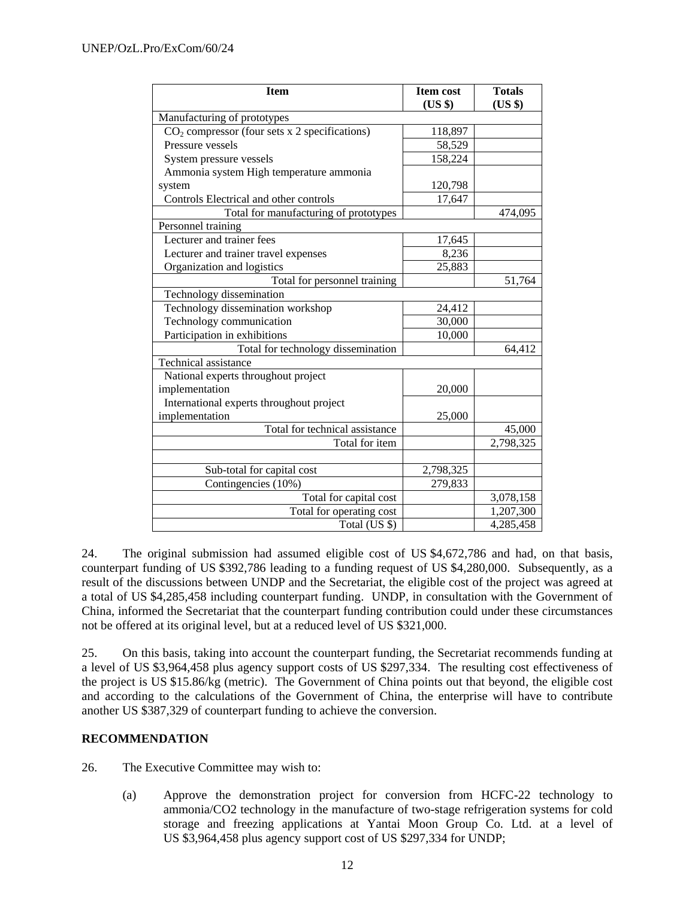| <b>Item</b>                                     | <b>Item cost</b> | <b>Totals</b> |
|-------------------------------------------------|------------------|---------------|
|                                                 | (US \$)          | (US \$)       |
| Manufacturing of prototypes                     |                  |               |
| $CO2$ compressor (four sets x 2 specifications) | 118,897          |               |
| Pressure vessels                                | 58,529           |               |
| System pressure vessels                         | 158,224          |               |
| Ammonia system High temperature ammonia         |                  |               |
| system                                          | 120,798          |               |
| Controls Electrical and other controls          | 17,647           |               |
| Total for manufacturing of prototypes           |                  | 474,095       |
| Personnel training                              |                  |               |
| Lecturer and trainer fees                       | 17,645           |               |
| Lecturer and trainer travel expenses            | 8,236            |               |
| Organization and logistics                      | 25,883           |               |
| Total for personnel training                    |                  | 51,764        |
| Technology dissemination                        |                  |               |
| Technology dissemination workshop               | 24,412           |               |
| Technology communication                        | 30,000           |               |
| Participation in exhibitions                    | 10,000           |               |
| Total for technology dissemination              |                  | 64,412        |
| Technical assistance                            |                  |               |
| National experts throughout project             |                  |               |
| implementation                                  | 20,000           |               |
| International experts throughout project        |                  |               |
| implementation                                  | 25,000           |               |
| Total for technical assistance                  |                  | 45,000        |
| Total for item                                  |                  | 2,798,325     |
|                                                 |                  |               |
| Sub-total for capital cost                      | 2,798,325        |               |
| Contingencies (10%)                             | 279,833          |               |
| Total for capital cost                          |                  | 3,078,158     |
| Total for operating cost                        |                  | 1,207,300     |
| Total (US \$)                                   |                  | 4,285,458     |

24. The original submission had assumed eligible cost of US \$4,672,786 and had, on that basis, counterpart funding of US \$392,786 leading to a funding request of US \$4,280,000. Subsequently, as a result of the discussions between UNDP and the Secretariat, the eligible cost of the project was agreed at a total of US \$4,285,458 including counterpart funding. UNDP, in consultation with the Government of China, informed the Secretariat that the counterpart funding contribution could under these circumstances not be offered at its original level, but at a reduced level of US \$321,000.

25. On this basis, taking into account the counterpart funding, the Secretariat recommends funding at a level of US \$3,964,458 plus agency support costs of US \$297,334. The resulting cost effectiveness of the project is US \$15.86/kg (metric). The Government of China points out that beyond, the eligible cost and according to the calculations of the Government of China, the enterprise will have to contribute another US \$387,329 of counterpart funding to achieve the conversion.

# **RECOMMENDATION**

- 26. The Executive Committee may wish to:
	- (a) Approve the demonstration project for conversion from HCFC-22 technology to ammonia/CO2 technology in the manufacture of two-stage refrigeration systems for cold storage and freezing applications at Yantai Moon Group Co. Ltd. at a level of US \$3,964,458 plus agency support cost of US \$297,334 for UNDP;